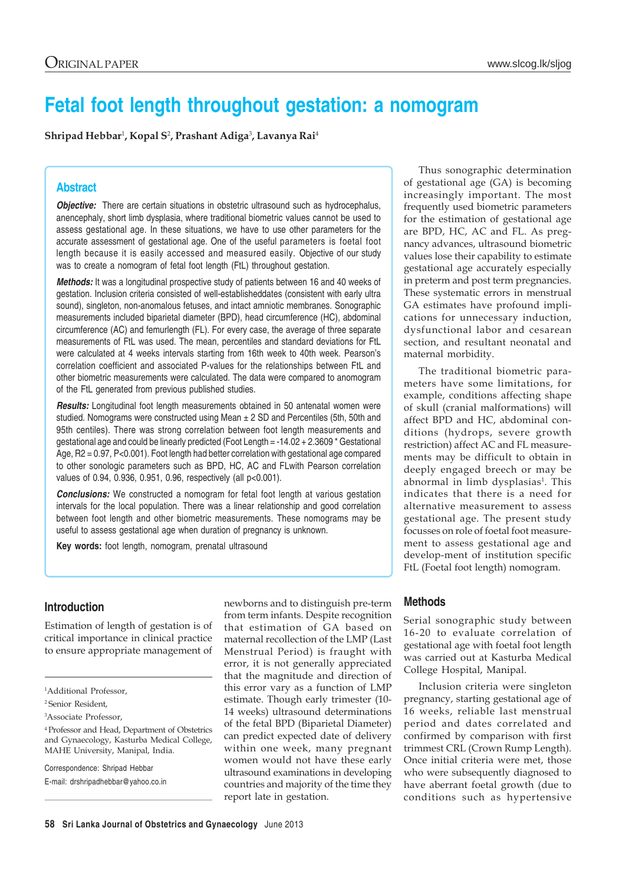# **Fetal foot length throughout gestation: a nomogram**

**Shripad Hebbar**<sup>1</sup> **, Kopal S**<sup>2</sup> **, Prashant Adiga**<sup>3</sup> **, Lavanya Rai**<sup>4</sup>

## **Abstract**

*Objective:* There are certain situations in obstetric ultrasound such as hydrocephalus, anencephaly, short limb dysplasia, where traditional biometric values cannot be used to assess gestational age. In these situations, we have to use other parameters for the accurate assessment of gestational age. One of the useful parameters is foetal foot length because it is easily accessed and measured easily. Objective of our study was to create a nomogram of fetal foot length (FtL) throughout gestation.

*Methods:* It was a longitudinal prospective study of patients between 16 and 40 weeks of gestation. Inclusion criteria consisted of well-establisheddates (consistent with early ultra sound), singleton, non-anomalous fetuses, and intact amniotic membranes. Sonographic measurements included biparietal diameter (BPD), head circumference (HC), abdominal circumference (AC) and femurlength (FL). For every case, the average of three separate measurements of FtL was used. The mean, percentiles and standard deviations for FtL were calculated at 4 weeks intervals starting from 16th week to 40th week. Pearson's correlation coefficient and associated P-values for the relationships between FtL and other biometric measurements were calculated. The data were compared to anomogram of the FtL generated from previous published studies.

*Results:* Longitudinal foot length measurements obtained in 50 antenatal women were studied. Nomograms were constructed using Mean  $\pm$  2 SD and Percentiles (5th, 50th and 95th centiles). There was strong correlation between foot length measurements and gestational age and could be linearly predicted (Foot Length = -14.02 + 2.3609 \* Gestational Age, R2 = 0.97, P<0.001). Foot length had better correlation with gestational age compared to other sonologic parameters such as BPD, HC, AC and FLwith Pearson correlation values of 0.94, 0.936, 0.951, 0.96, respectively (all p<0.001).

**Conclusions:** We constructed a nomogram for fetal foot length at various gestation intervals for the local population. There was a linear relationship and good correlation between foot length and other biometric measurements. These nomograms may be useful to assess gestational age when duration of pregnancy is unknown.

**Key words:** foot length, nomogram, prenatal ultrasound

# **Introduction**

Estimation of length of gestation is of critical importance in clinical practice to ensure appropriate management of

Correspondence: Shripad Hebbar E-mail: drshripadhebbar@yahoo.co.in

newborns and to distinguish pre-term from term infants. Despite recognition that estimation of GA based on maternal recollection of the LMP (Last Menstrual Period) is fraught with error, it is not generally appreciated that the magnitude and direction of this error vary as a function of LMP estimate. Though early trimester (10- 14 weeks) ultrasound determinations of the fetal BPD (Biparietal Diameter) can predict expected date of delivery within one week, many pregnant women would not have these early ultrasound examinations in developing countries and majority of the time they report late in gestation.

Thus sonographic determination of gestational age (GA) is becoming increasingly important. The most frequently used biometric parameters for the estimation of gestational age are BPD, HC, AC and FL. As pregnancy advances, ultrasound biometric values lose their capability to estimate gestational age accurately especially in preterm and post term pregnancies. These systematic errors in menstrual GA estimates have profound implications for unnecessary induction, dysfunctional labor and cesarean section, and resultant neonatal and maternal morbidity.

The traditional biometric parameters have some limitations, for example, conditions affecting shape of skull (cranial malformations) will affect BPD and HC, abdominal conditions (hydrops, severe growth restriction) affect AC and FL measurements may be difficult to obtain in deeply engaged breech or may be abnormal in limb dysplasias<sup>1</sup>. This indicates that there is a need for alternative measurement to assess gestational age. The present study focusses on role of foetal foot measurement to assess gestational age and develop-ment of institution specific FtL (Foetal foot length) nomogram.

## **Methods**

Serial sonographic study between 16-20 to evaluate correlation of gestational age with foetal foot length was carried out at Kasturba Medical College Hospital, Manipal.

Inclusion criteria were singleton pregnancy, starting gestational age of 16 weeks, reliable last menstrual period and dates correlated and confirmed by comparison with first trimmest CRL (Crown Rump Length). Once initial criteria were met, those who were subsequently diagnosed to have aberrant foetal growth (due to conditions such as hypertensive

<sup>1</sup> Additional Professor,

<sup>2</sup> Senior Resident,

<sup>3</sup> Associate Professor,

<sup>4</sup> Professor and Head, Department of Obstetrics and Gynaecology, Kasturba Medical College, MAHE University, Manipal, India.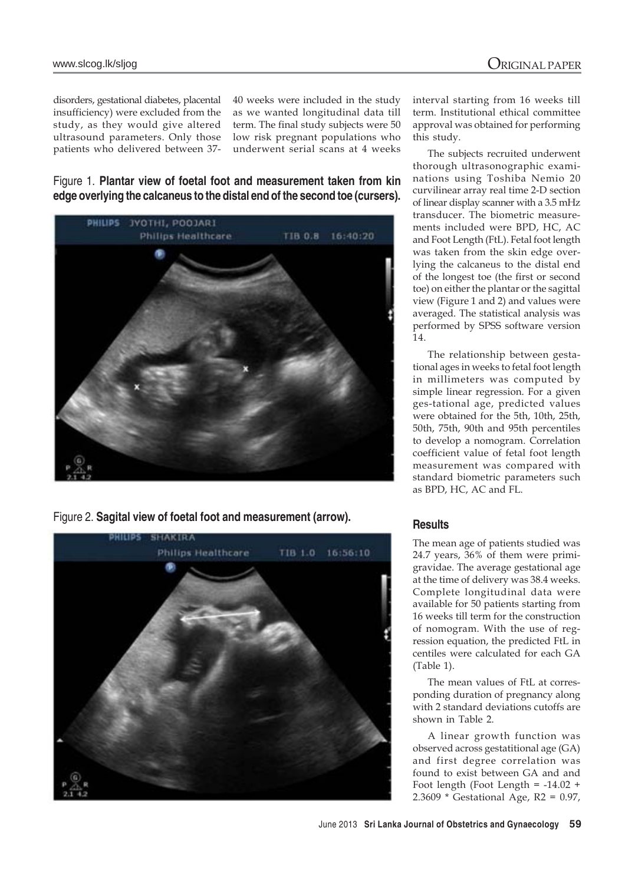disorders, gestational diabetes, placental insufficiency) were excluded from the study, as they would give altered ultrasound parameters. Only those patients who delivered between 3740 weeks were included in the study as we wanted longitudinal data till term. The final study subjects were 50 low risk pregnant populations who underwent serial scans at 4 weeks

Figure 1. **Plantar view of foetal foot and measurement taken from kin edge overlying the calcaneus to the distal end of the second toe (cursers).**



Figure 2. **Sagital view of foetal foot and measurement (arrow).**



interval starting from 16 weeks till term. Institutional ethical committee approval was obtained for performing this study.

The subjects recruited underwent thorough ultrasonographic examinations using Toshiba Nemio 20 curvilinear array real time 2-D section of linear display scanner with a 3.5 mHz transducer. The biometric measurements included were BPD, HC, AC and Foot Length (FtL). Fetal foot length was taken from the skin edge overlying the calcaneus to the distal end of the longest toe (the first or second toe) on either the plantar or the sagittal view (Figure 1 and 2) and values were averaged. The statistical analysis was performed by SPSS software version  $14.$ 

The relationship between gestational ages in weeks to fetal foot length in millimeters was computed by simple linear regression. For a given ges-tational age, predicted values were obtained for the 5th, 10th, 25th, 50th, 75th, 90th and 95th percentiles to develop a nomogram. Correlation coefficient value of fetal foot length measurement was compared with standard biometric parameters such as BPD, HC, AC and FL.

# **Results**

The mean age of patients studied was 24.7 years, 36% of them were primigravidae. The average gestational age at the time of delivery was 38.4 weeks. Complete longitudinal data were available for 50 patients starting from 16 weeks till term for the construction of nomogram. With the use of regression equation, the predicted FtL in centiles were calculated for each GA (Table 1).

The mean values of FtL at corresponding duration of pregnancy along with 2 standard deviations cutoffs are shown in Table 2.

A linear growth function was observed across gestatitional age (GA) and first degree correlation was found to exist between GA and and Foot length (Foot Length = -14.02 + 2.3609  $*$  Gestational Age, R2 = 0.97,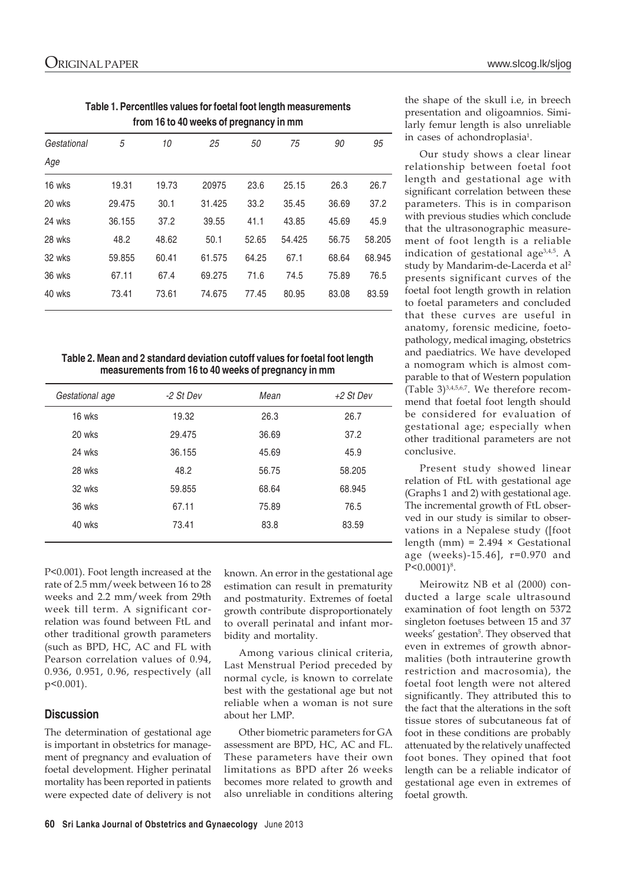**Table 1. Percentlles values for foetal foot length measurements from 16 to 40 weeks of pregnancy in mm**

| Gestational | 5      | 10    | 25     | 50    | 75     | 90    | 95     |
|-------------|--------|-------|--------|-------|--------|-------|--------|
| Age         |        |       |        |       |        |       |        |
| 16 wks      | 19.31  | 19.73 | 20975  | 23.6  | 25.15  | 26.3  | 26.7   |
| 20 wks      | 29.475 | 30.1  | 31.425 | 33.2  | 35.45  | 36.69 | 37.2   |
| 24 wks      | 36.155 | 37.2  | 39.55  | 41.1  | 43.85  | 45.69 | 45.9   |
| 28 wks      | 48.2   | 48.62 | 50.1   | 52.65 | 54.425 | 56.75 | 58.205 |
| 32 wks      | 59.855 | 60.41 | 61.575 | 64.25 | 67.1   | 68.64 | 68.945 |
| 36 wks      | 67.11  | 67.4  | 69.275 | 71.6  | 74.5   | 75.89 | 76.5   |
| 40 wks      | 73.41  | 73.61 | 74.675 | 77.45 | 80.95  | 83.08 | 83.59  |

**Table 2. Mean and 2 standard deviation cutoff values for foetal foot length measurements from 16 to 40 weeks of pregnancy in mm**

| Gestational age | -2 St Dev | Mean  | +2 St Dev |
|-----------------|-----------|-------|-----------|
| 16 wks          | 19.32     | 26.3  | 26.7      |
| 20 wks          | 29.475    | 36.69 | 37.2      |
| 24 wks          | 36.155    | 45.69 | 45.9      |
| 28 wks          | 48.2      | 56.75 | 58.205    |
| 32 wks          | 59.855    | 68.64 | 68.945    |
| 36 wks          | 67.11     | 75.89 | 76.5      |
| 40 wks          | 73.41     | 83.8  | 83.59     |

P<0.001). Foot length increased at the rate of 2.5 mm/week between 16 to 28 weeks and 2.2 mm/week from 29th week till term. A significant correlation was found between FtL and other traditional growth parameters (such as BPD, HC, AC and FL with Pearson correlation values of 0.94, 0.936, 0.951, 0.96, respectively (all p<0.001).

# **Discussion**

The determination of gestational age is important in obstetrics for management of pregnancy and evaluation of foetal development. Higher perinatal mortality has been reported in patients were expected date of delivery is not

known. An error in the gestational age estimation can result in prematurity and postmaturity. Extremes of foetal growth contribute disproportionately to overall perinatal and infant morbidity and mortality.

Among various clinical criteria, Last Menstrual Period preceded by normal cycle, is known to correlate best with the gestational age but not reliable when a woman is not sure about her LMP.

Other biometric parameters for GA assessment are BPD, HC, AC and FL. These parameters have their own limitations as BPD after 26 weeks becomes more related to growth and also unreliable in conditions altering the shape of the skull i.e, in breech presentation and oligoamnios. Similarly femur length is also unreliable in cases of achondroplasia<sup>1</sup>.

Our study shows a clear linear relationship between foetal foot length and gestational age with significant correlation between these parameters. This is in comparison with previous studies which conclude that the ultrasonographic measurement of foot length is a reliable indication of gestational age $3,4,5$ . A study by Mandarim-de-Lacerda et al<sup>2</sup> presents significant curves of the foetal foot length growth in relation to foetal parameters and concluded that these curves are useful in anatomy, forensic medicine, foetopathology, medical imaging, obstetrics and paediatrics. We have developed a nomogram which is almost comparable to that of Western population (Table 3)3,4,5,6,7. We therefore recommend that foetal foot length should be considered for evaluation of gestational age; especially when other traditional parameters are not conclusive.

Present study showed linear relation of FtL with gestational age (Graphs 1 and 2) with gestational age. The incremental growth of FtL observed in our study is similar to observations in a Nepalese study ([foot length (mm) =  $2.494 \times$  Gestational age (weeks)-15.46], r=0.970 and P<0.0001)<sup>8</sup>.

Meirowitz NB et al (2000) conducted a large scale ultrasound examination of foot length on 5372 singleton foetuses between 15 and 37 weeks' gestation<sup>5</sup>. They observed that even in extremes of growth abnormalities (both intrauterine growth restriction and macrosomia), the foetal foot length were not altered significantly. They attributed this to the fact that the alterations in the soft tissue stores of subcutaneous fat of foot in these conditions are probably attenuated by the relatively unaffected foot bones. They opined that foot length can be a reliable indicator of gestational age even in extremes of foetal growth.